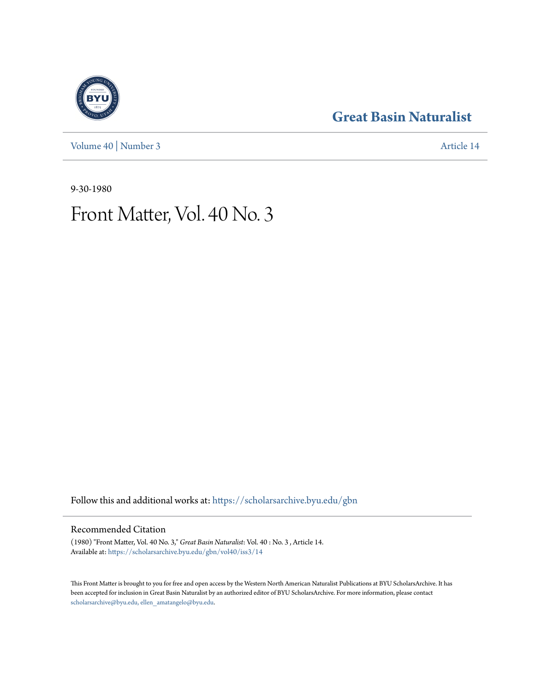[Volume 40](https://scholarsarchive.byu.edu/gbn/vol40?utm_source=scholarsarchive.byu.edu%2Fgbn%2Fvol40%2Fiss3%2F14&utm_medium=PDF&utm_campaign=PDFCoverPages) | [Number 3](https://scholarsarchive.byu.edu/gbn/vol40/iss3?utm_source=scholarsarchive.byu.edu%2Fgbn%2Fvol40%2Fiss3%2F14&utm_medium=PDF&utm_campaign=PDFCoverPages) [Article 14](https://scholarsarchive.byu.edu/gbn/vol40/iss3/14?utm_source=scholarsarchive.byu.edu%2Fgbn%2Fvol40%2Fiss3%2F14&utm_medium=PDF&utm_campaign=PDFCoverPages)

## **[Great Basin Naturalist](https://scholarsarchive.byu.edu/gbn?utm_source=scholarsarchive.byu.edu%2Fgbn%2Fvol40%2Fiss3%2F14&utm_medium=PDF&utm_campaign=PDFCoverPages)**

9-30-1980

# Front Matter, Vol. 40 No. 3

Follow this and additional works at: [https://scholarsarchive.byu.edu/gbn](https://scholarsarchive.byu.edu/gbn?utm_source=scholarsarchive.byu.edu%2Fgbn%2Fvol40%2Fiss3%2F14&utm_medium=PDF&utm_campaign=PDFCoverPages)

### Recommended Citation

(1980) "Front Matter, Vol. 40 No. 3," *Great Basin Naturalist*: Vol. 40 : No. 3 , Article 14. Available at: [https://scholarsarchive.byu.edu/gbn/vol40/iss3/14](https://scholarsarchive.byu.edu/gbn/vol40/iss3/14?utm_source=scholarsarchive.byu.edu%2Fgbn%2Fvol40%2Fiss3%2F14&utm_medium=PDF&utm_campaign=PDFCoverPages)

This Front Matter is brought to you for free and open access by the Western North American Naturalist Publications at BYU ScholarsArchive. It has been accepted for inclusion in Great Basin Naturalist by an authorized editor of BYU ScholarsArchive. For more information, please contact [scholarsarchive@byu.edu, ellen\\_amatangelo@byu.edu.](mailto:scholarsarchive@byu.edu,%20ellen_amatangelo@byu.edu)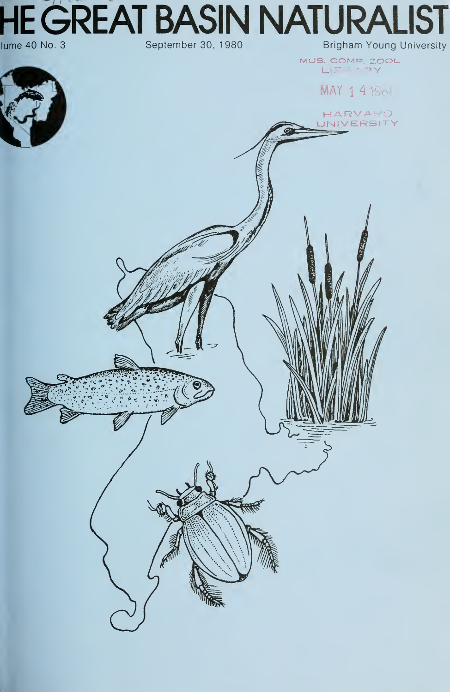